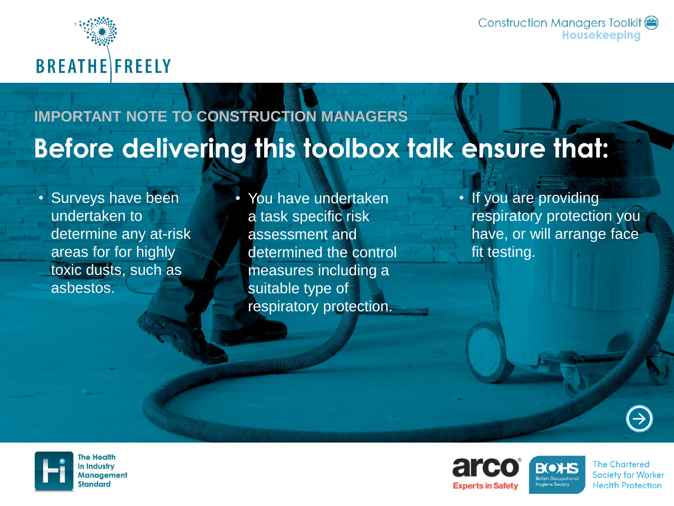

Construction Managers Toolkit (=) **Housekeeping** 

### **IMPORTANT NOTE TO CONSTRUCTION MANAGERS**Before delivering this toolbox talk ensure that:

• Surveys have been undertaken to determine any at-risk areas for for highly toxic dusts, such as asbestos.

• You have undertaken a task specific risk assessment and determined the control measures including a suitable type of respiratory protection.

• If you are providing respiratory protection you have, or will arrange face fit testing.





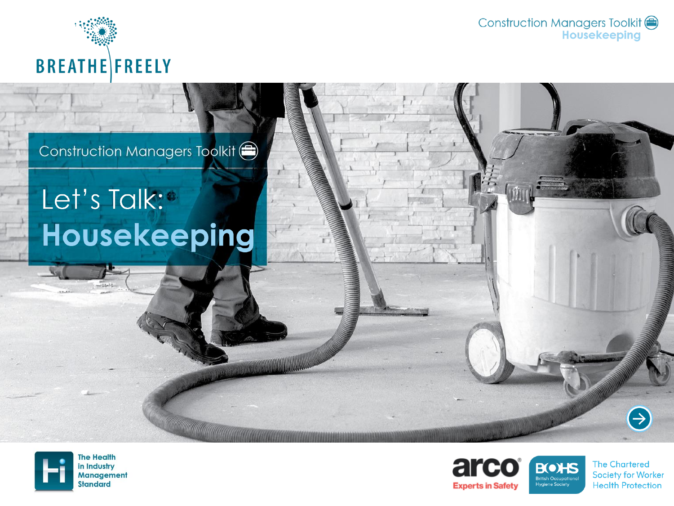

Construction Managers Toolkit<br>Housekeeping

#### Construction Managers Toolkit (

## Let's Talk:<sup>®</sup> Housekeeping

a a component a component and the component of the component of the component of the component of the component of the component of the component of the component of the component of the component of the component of the c





**The Chartered Society for Worker Health Protection** 

 $\bigoplus$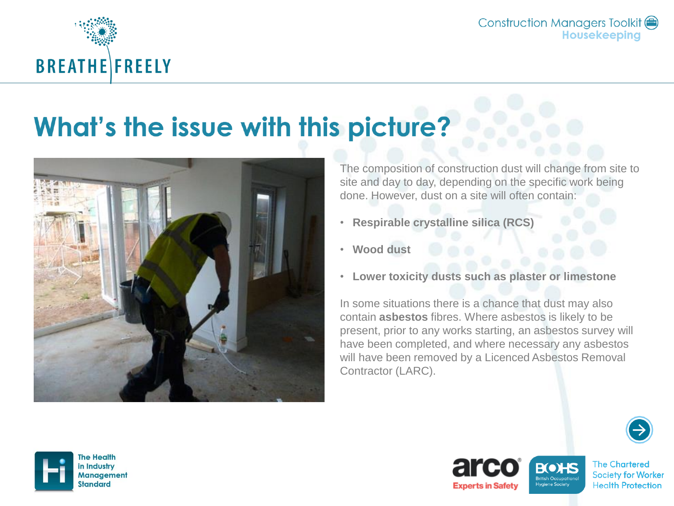

Construction Managers Toolkit (=) Housekeeping

## What's the issue with this picture?



The composition of construction dust will change from site to site and day to day, depending on the specific work being done. However, dust on a site will often contain:

- **Respirable crystalline silica (RCS)**
- **Wood dust**
- **Lower toxicity dusts such as plaster or limestone**

In some situations there is a chance that dust may also contain **asbestos** fibres. Where asbestos is likely to be present, prior to any works starting, an asbestos survey will have been completed, and where necessary any asbestos will have been removed by a Licenced Asbestos Removal Contractor (LARC).



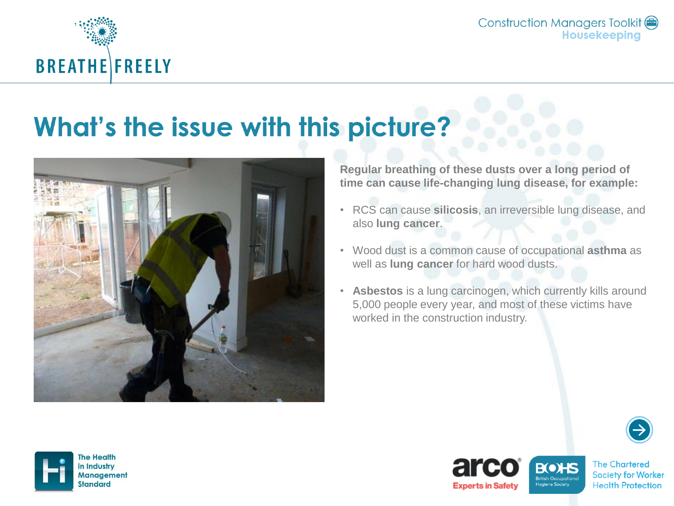

Construction Managers Toolkit ( Housekeeping

### What's the issue with this picture?



**Regular breathing of these dusts over a long period of time can cause life-changing lung disease, for example:**

- RCS can cause **silicosis**, an irreversible lung disease, and also **lung cancer**.
- Wood dust is a common cause of occupational **asthma** as well as **lung cancer** for hard wood dusts.
- **Asbestos** is a lung carcinogen, which currently kills around 5,000 people every year, and most of these victims have worked in the construction industry.



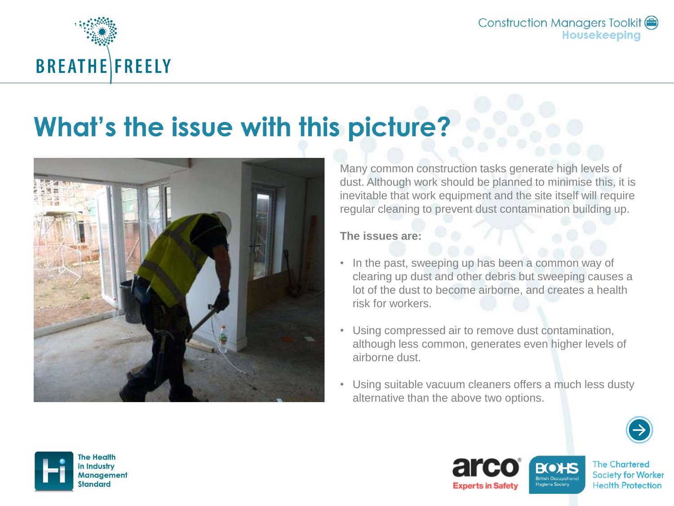

## What's the issue with this picture?



Many common construction tasks generate high levels of dust. Although work should be planned to minimise this, it is inevitable that work equipment and the site itself will require regular cleaning to prevent dust contamination building up.

**The issues are:**

- In the past, sweeping up has been a common way of clearing up dust and other debris but sweeping causes a lot of the dust to become airborne, and creates a health risk for workers.
- Using compressed air to remove dust contamination, although less common, generates even higher levels of airborne dust.
- Using suitable vacuum cleaners offers a much less dusty alternative than the above two options.





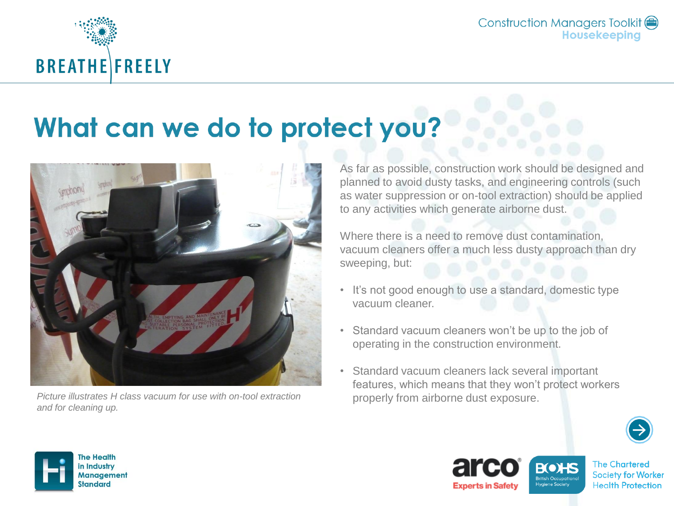

## What can we do to protect you?



*Picture illustrates H class vacuum for use with on-tool extraction properly from airborne dust exposure. and for cleaning up.*

As far as possible, construction work should be designed and planned to avoid dusty tasks, and engineering controls (such as water suppression or on-tool extraction) should be applied to any activities which generate airborne dust.

Where there is a need to remove dust contamination, vacuum cleaners offer a much less dusty approach than dry sweeping, but:

- It's not good enough to use a standard, domestic type vacuum cleaner.
- Standard vacuum cleaners won't be up to the job of operating in the construction environment.
- Standard vacuum cleaners lack several important features, which means that they won't protect workers





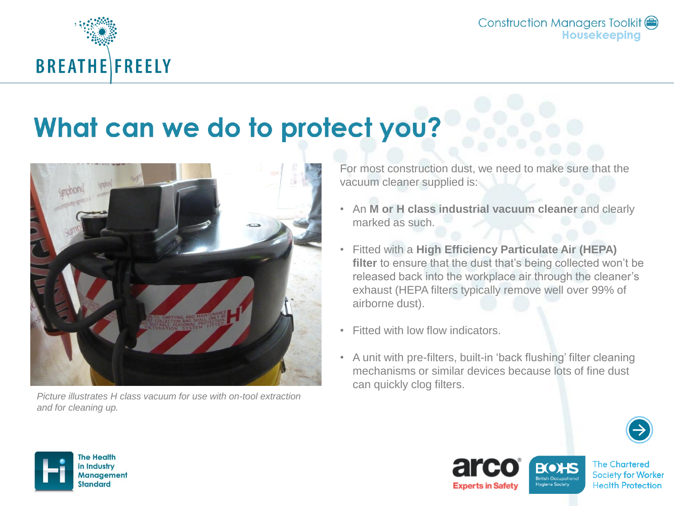

## What can we do to protect you?



*Picture illustrates H class vacuum for use with on-tool extraction and for cleaning up.*

For most construction dust, we need to make sure that the vacuum cleaner supplied is:

- An **M or H class industrial vacuum cleaner** and clearly marked as such.
- Fitted with a **High Efficiency Particulate Air (HEPA) filter** to ensure that the dust that's being collected won't be released back into the workplace air through the cleaner's exhaust (HEPA filters typically remove well over 99% of airborne dust).
- Fitted with low flow indicators.
- A unit with pre-filters, built-in 'back flushing' filter cleaning mechanisms or similar devices because lots of fine dust can quickly clog filters.





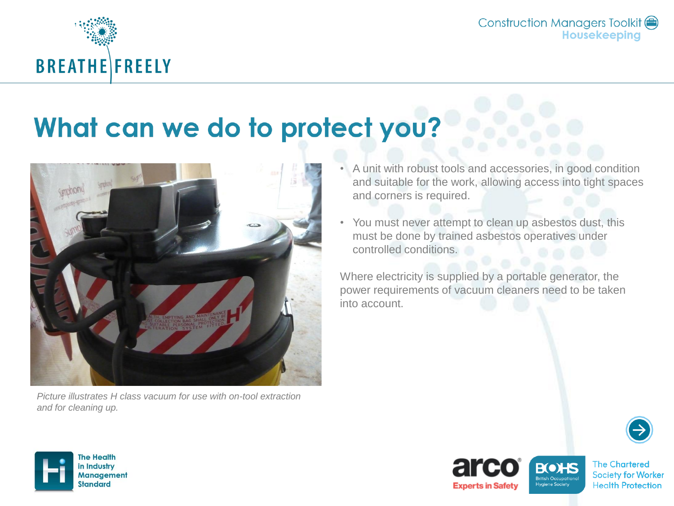

## What can we do to protect you?



*Picture illustrates H class vacuum for use with on-tool extraction and for cleaning up.*

- A unit with robust tools and accessories, in good condition and suitable for the work, allowing access into tight spaces and corners is required.
- You must never attempt to clean up asbestos dust, this must be done by trained asbestos operatives under controlled conditions.

Where electricity is supplied by a portable generator, the power requirements of vacuum cleaners need to be taken into account.







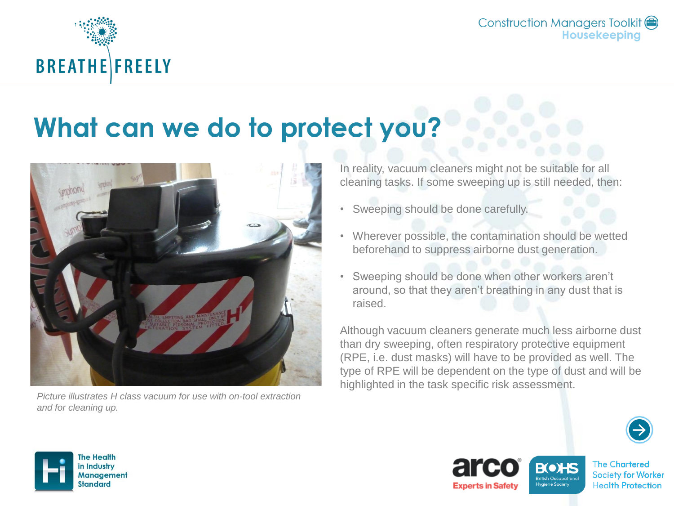

## What can we do to protect you?



*Picture illustrates H class vacuum for use with on-tool extraction and for cleaning up.*

In reality, vacuum cleaners might not be suitable for all cleaning tasks. If some sweeping up is still needed, then:

- Sweeping should be done carefully.
- Wherever possible, the contamination should be wetted beforehand to suppress airborne dust generation.
- Sweeping should be done when other workers aren't around, so that they aren't breathing in any dust that is raised.

Although vacuum cleaners generate much less airborne dust than dry sweeping, often respiratory protective equipment (RPE, i.e. dust masks) will have to be provided as well. The type of RPE will be dependent on the type of dust and will be highlighted in the task specific risk assessment.







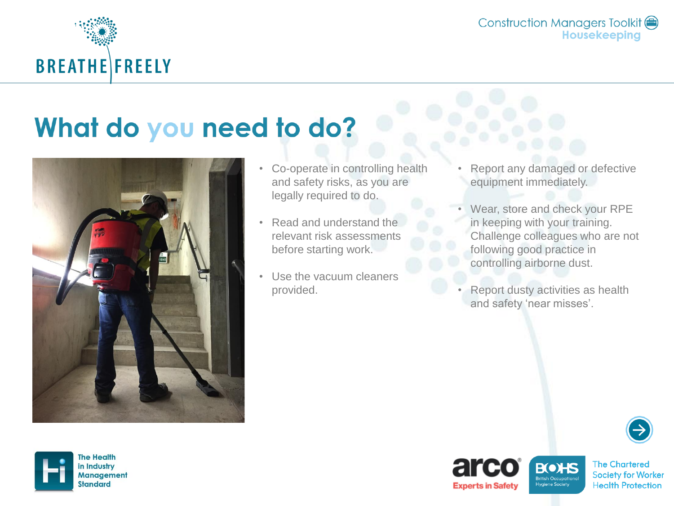

## What do you need to do?



- Co-operate in controlling health and safety risks, as you are legally required to do.
- Read and understand the relevant risk assessments before starting work.
- Use the vacuum cleaners provided.
- Report any damaged or defective equipment immediately.
- Wear, store and check your RPE in keeping with your training. Challenge colleagues who are not following good practice in controlling airborne dust.
- Report dusty activities as health and safety 'near misses'.







**Experts in Safety**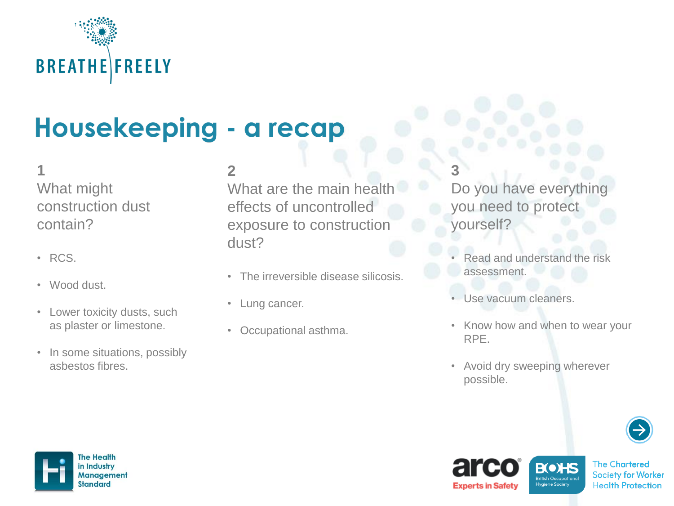

## Housekeeping - a recap

#### **1**

What might construction dust contain?

- RCS.
- Wood dust.
- Lower toxicity dusts, such as plaster or limestone.
- In some situations, possibly asbestos fibres.

#### **2**

What are the main health effects of uncontrolled exposure to construction dust?

- The irreversible disease silicosis.
- Lung cancer.
- Occupational asthma.

**3**

Do you have everything you need to protect yourself?

- Read and understand the risk assessment.
- Use vacuum cleaners.
- Know how and when to wear your RPE.
- Avoid dry sweeping wherever possible.







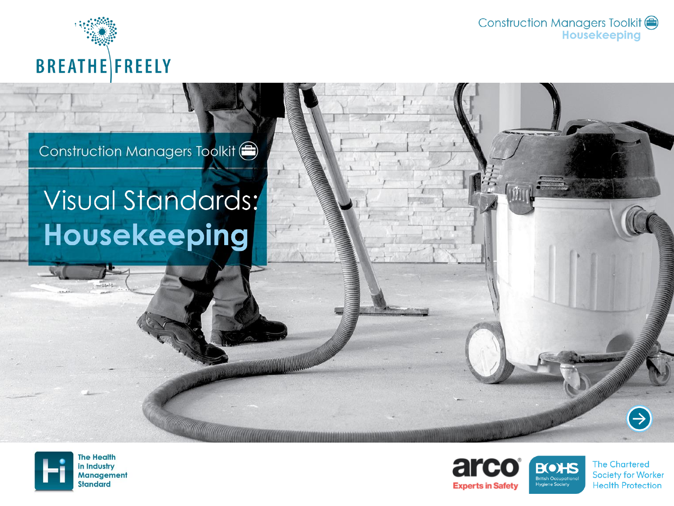

Construction Managers Toolkit <sup>e</sup> **Housekeeping** 

#### Construction Managers Toolkit (

## Visual Standards: Housekeeping

**Construction of the Construction Construction** 





**The Chartered Society for Worker Health Protection** 

 $\bigoplus$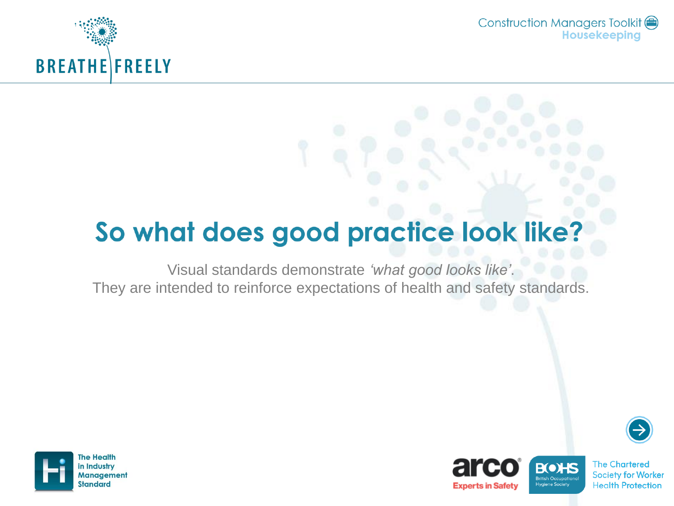

Construction Managers Toolkit ( **Housekeeping** 

## So what does good practice look like?

Visual standards demonstrate *'what good looks like'*. They are intended to reinforce expectations of health and safety standards.







**Experts in Safety**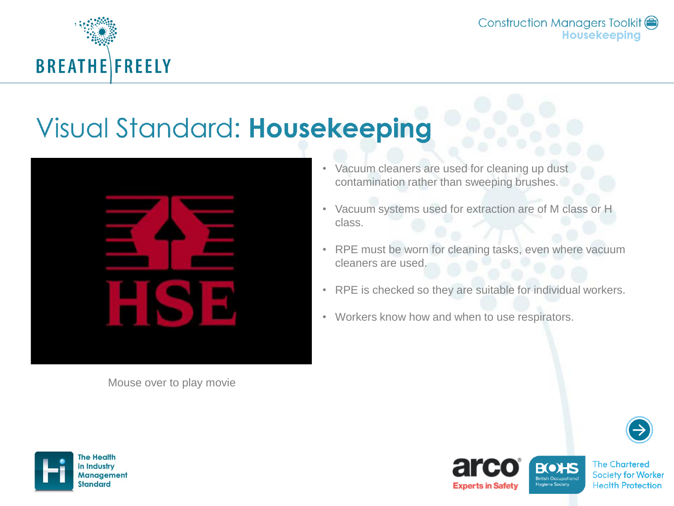

Construction Managers Toolkit ( Housekeeping

## **Visual Standard: Housekeeping**



Mouse over to play movie

- Vacuum cleaners are used for cleaning up dust contamination rather than sweeping brushes.
- Vacuum systems used for extraction are of M class or H class.
- RPE must be worn for cleaning tasks, even where vacuum cleaners are used.
- RPE is checked so they are suitable for individual workers.
- Workers know how and when to use respirators.